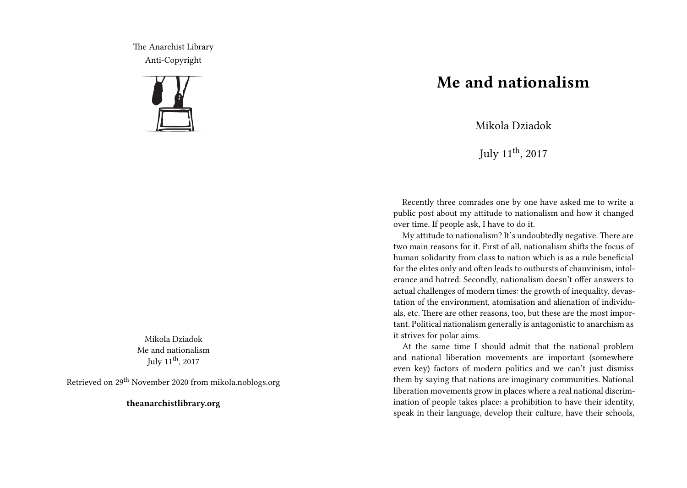The Anarchist Library Anti-Copyright



Mikola Dziadok Me and nationalism July  $11^{\text{th}}$ ,  $2017$ 

Retrieved on 29th November 2020 from mikola.noblogs.org

**theanarchistlibrary.org**

## **Me and nationalism**

Mikola Dziadok

July  $11^{th}$ ,  $2017$ 

Recently three comrades one by one have asked me to write a public post about my attitude to nationalism and how it changed over time. If people ask, I have to do it.

My attitude to nationalism? It's undoubtedly negative. There are two main reasons for it. First of all, nationalism shifts the focus of human solidarity from class to nation which is as a rule beneficial for the elites only and often leads to outbursts of chauvinism, intolerance and hatred. Secondly, nationalism doesn't offer answers to actual challenges of modern times: the growth of inequality, devastation of the environment, atomisation and alienation of individuals, etc. There are other reasons, too, but these are the most important. Political nationalism generally is antagonistic to anarchism as it strives for polar aims.

At the same time I should admit that the national problem and national liberation movements are important (somewhere even key) factors of modern politics and we can't just dismiss them by saying that nations are imaginary communities. National liberation movements grow in places where a real national discrimination of people takes place: a prohibition to have their identity, speak in their language, develop their culture, have their schools,